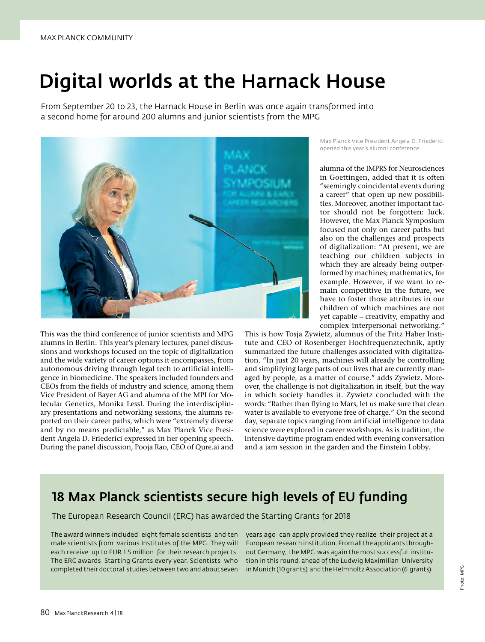# Digital worlds at the Harnack House

From September 20 to 23, the Harnack House in Berlin was once again transformed into a second home for around 200 alumns and junior scientists from the MPG



This was the third conference of junior scientists and MPG alumns in Berlin. This year's plenary lectures, panel discussions and workshops focused on the topic of digitalization and the wide variety of career options it encompasses, from autonomous driving through legal tech to artificial intelligence in biomedicine. The speakers included founders and CEOs from the fields of industry and science, among them Vice President of Bayer AG and alumna of the MPI for Molecular Genetics, Monika Lessl. During the interdisciplinary presentations and networking sessions, the alumns reported on their career paths, which were "extremely diverse and by no means predictable," as Max Planck Vice President Angela D. Friederici expressed in her opening speech. During the panel discussion, Pooja Rao, CEO of Qure.ai and Max Planck Vice President Angela D. Friederici opened this year's alumni conference.

alumna of the IMPRS for Neurosciences in Goettingen, added that it is often "seemingly coincidental events during a career" that open up new possibilities. Moreover, another important factor should not be forgotten: luck. However, the Max Planck Symposium focused not only on career paths but also on the challenges and prospects of digitalization: "At present, we are teaching our children subjects in which they are already being outperformed by machines; mathematics, for example. However, if we want to remain competitive in the future, we have to foster those attributes in our children of which machines are not yet capable – creativity, empathy and complex interpersonal networking."

This is how Tosja Zywietz, alumnus of the Fritz Haber Institute and CEO of Rosenberger Hochfrequenztechnik, aptly summarized the future challenges associated with digitalization. "In just 20 years, machines will already be controlling and simplifying large parts of our lives that are currently managed by people, as a matter of course," adds Zywietz. Moreover, the challenge is not digitalization in itself, but the way in which society handles it. Zywietz concluded with the words: "Rather than flying to Mars, let us make sure that clean water is available to everyone free of charge." On the second day, separate topics ranging from artificial intelligence to data science were explored in career workshops. As is tradition, the intensive daytime program ended with evening conversation and a jam session in the garden and the Einstein Lobby.

### 18 Max Planck scientists secure high levels of EU funding

The European Research Council (ERC) has awarded the Starting Grants for 2018

The award winners included eight female scientists and ten male scientists from various Institutes of the MPG. They will each receive up to EUR 1.5 million for their research projects. The ERC awards Starting Grants every year. Scientists who completed their doctoral studies between two and about seven years ago can apply provided they realize their project at a European research institution. From all the applicants throughout Germany, the MPG was again the most successful institution in this round, ahead of the Ludwig Maximilian University in Munich (10 grants) and the Helmholtz Association (6 grants).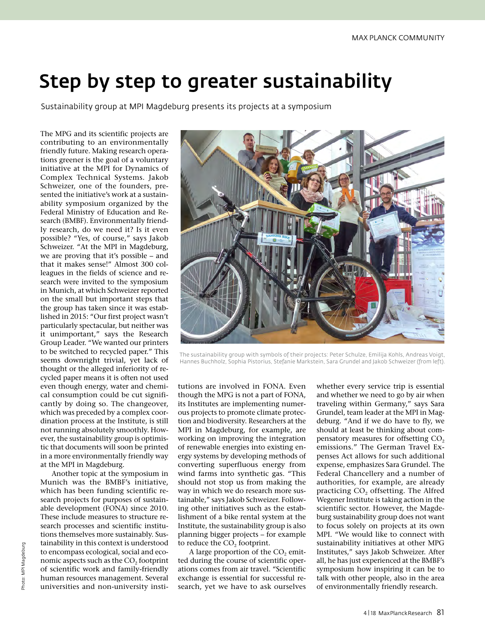## Step by step to greater sustainability

Sustainability group at MPI Magdeburg presents its projects at a symposium

The MPG and its scientific projects are contributing to an environmentally friendly future. Making research operations greener is the goal of a voluntary initiative at the MPI for Dynamics of Complex Technical Systems. Jakob Schweizer, one of the founders, presented the initiative's work at a sustainability symposium organized by the Federal Ministry of Education and Research (BMBF). Environmentally friendly research, do we need it? Is it even possible? "Yes, of course," says Jakob Schweizer. "At the MPI in Magdeburg, we are proving that it's possible – and that it makes sense!" Almost 300 colleagues in the fields of science and research were invited to the symposium in Munich, at which Schweizer reported on the small but important steps that the group has taken since it was established in 2015: "Our first project wasn't particularly spectacular, but neither was it unimportant," says the Research Group Leader. "We wanted our printers to be switched to recycled paper." This seems downright trivial, yet lack of thought or the alleged inferiority of recycled paper means it is often not used even though energy, water and chemical consumption could be cut significantly by doing so. The changeover, which was preceded by a complex coordination process at the Institute, is still not running absolutely smoothly. However, the sustainability group is optimistic that documents will soon be printed in a more environmentally friendly way at the MPI in Magdeburg.

Another topic at the symposium in Munich was the BMBF's initiative, which has been funding scientific research projects for purposes of sustainable development (FONA) since 2010. These include measures to structure research processes and scientific institutions themselves more sustainably. Sustainability in this context is understood to encompass ecological, social and economic aspects such as the  $CO<sub>2</sub>$  footprint of scientific work and family-friendly human resources management. Several universities and non-university insti-



The sustainability group with symbols of their projects: Peter Schulze, Emilija Kohls, Andreas Voigt, Hannes Buchholz, Sophia Pistorius, Stefanie Markstein, Sara Grundel and Jakob Schweizer (from left).

tutions are involved in FONA. Even though the MPG is not a part of FONA, its Institutes are implementing numerous projects to promote climate protection and biodiversity. Researchers at the MPI in Magdeburg, for example, are working on improving the integration of renewable energies into existing energy systems by developing methods of converting superfluous energy from wind farms into synthetic gas. "This should not stop us from making the way in which we do research more sustainable," says Jakob Schweizer. Following other initiatives such as the establishment of a bike rental system at the Institute, the sustainability group is also planning bigger projects – for example to reduce the CO<sub>2</sub> footprint.

A large proportion of the  $CO$ , emitted during the course of scientific operations comes from air travel. "Scientific exchange is essential for successful research, yet we have to ask ourselves whether every service trip is essential and whether we need to go by air when traveling within Germany," says Sara Grundel, team leader at the MPI in Magdeburg. "And if we do have to fly, we should at least be thinking about compensatory measures for offsetting CO<sub>2</sub> emissions." The German Travel Expenses Act allows for such additional expense, emphasizes Sara Grundel. The Federal Chancellery and a number of authorities, for example, are already practicing CO<sub>2</sub> offsetting. The Alfred Wegener Institute is taking action in the scientific sector. However, the Magdeburg sustainability group does not want to focus solely on projects at its own MPI. "We would like to connect with sustainability initiatives at other MPG Institutes," says Jakob Schweizer. After all, he has just experienced at the BMBF's symposium how inspiring it can be to talk with other people, also in the area of environmentally friendly research.